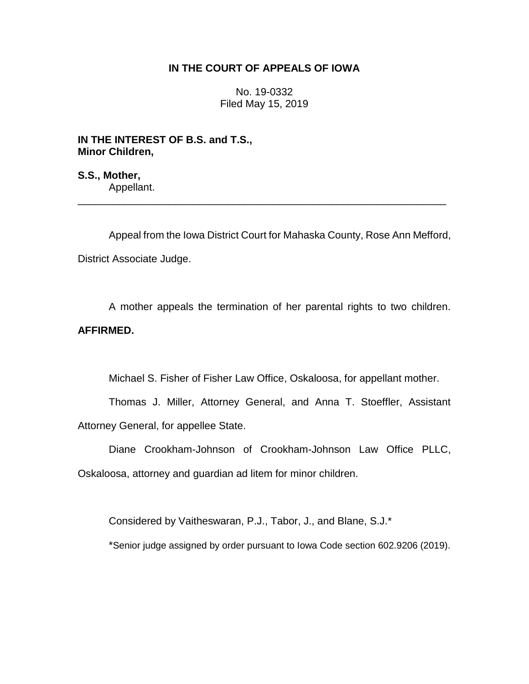## **IN THE COURT OF APPEALS OF IOWA**

No. 19-0332 Filed May 15, 2019

**IN THE INTEREST OF B.S. and T.S., Minor Children,**

**S.S., Mother,** Appellant.

Appeal from the Iowa District Court for Mahaska County, Rose Ann Mefford, District Associate Judge.

\_\_\_\_\_\_\_\_\_\_\_\_\_\_\_\_\_\_\_\_\_\_\_\_\_\_\_\_\_\_\_\_\_\_\_\_\_\_\_\_\_\_\_\_\_\_\_\_\_\_\_\_\_\_\_\_\_\_\_\_\_\_\_\_

A mother appeals the termination of her parental rights to two children. **AFFIRMED.** 

Michael S. Fisher of Fisher Law Office, Oskaloosa, for appellant mother.

Thomas J. Miller, Attorney General, and Anna T. Stoeffler, Assistant Attorney General, for appellee State.

Diane Crookham-Johnson of Crookham-Johnson Law Office PLLC, Oskaloosa, attorney and guardian ad litem for minor children.

Considered by Vaitheswaran, P.J., Tabor, J., and Blane, S.J.\*

\*Senior judge assigned by order pursuant to Iowa Code section 602.9206 (2019).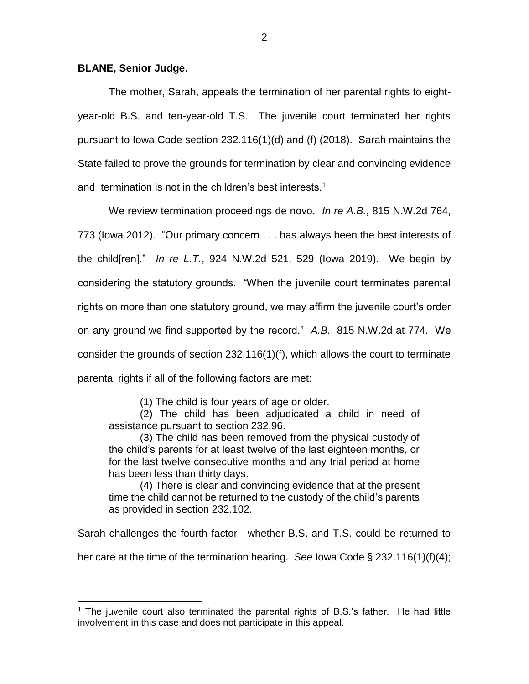## **BLANE, Senior Judge.**

 $\overline{a}$ 

The mother, Sarah, appeals the termination of her parental rights to eightyear-old B.S. and ten-year-old T.S. The juvenile court terminated her rights pursuant to Iowa Code section 232.116(1)(d) and (f) (2018). Sarah maintains the State failed to prove the grounds for termination by clear and convincing evidence and termination is not in the children's best interests.<sup>1</sup>

We review termination proceedings de novo. *In re A.B.*, 815 N.W.2d 764, 773 (Iowa 2012). "Our primary concern . . . has always been the best interests of the child[ren]." *In re L.T.*, 924 N.W.2d 521, 529 (Iowa 2019). We begin by considering the statutory grounds. "When the juvenile court terminates parental rights on more than one statutory ground, we may affirm the juvenile court's order on any ground we find supported by the record." *A.B.*, 815 N.W.2d at 774. We consider the grounds of section 232.116(1)(f), which allows the court to terminate parental rights if all of the following factors are met:

(1) The child is four years of age or older.

(2) The child has been adjudicated a child in need of assistance pursuant to section 232.96.

(3) The child has been removed from the physical custody of the child's parents for at least twelve of the last eighteen months, or for the last twelve consecutive months and any trial period at home has been less than thirty days.

(4) There is clear and convincing evidence that at the present time the child cannot be returned to the custody of the child's parents as provided in section 232.102.

Sarah challenges the fourth factor—whether B.S. and T.S. could be returned to

her care at the time of the termination hearing. *See* Iowa Code § 232.116(1)(f)(4);

 $1$  The juvenile court also terminated the parental rights of B.S.'s father. He had little involvement in this case and does not participate in this appeal.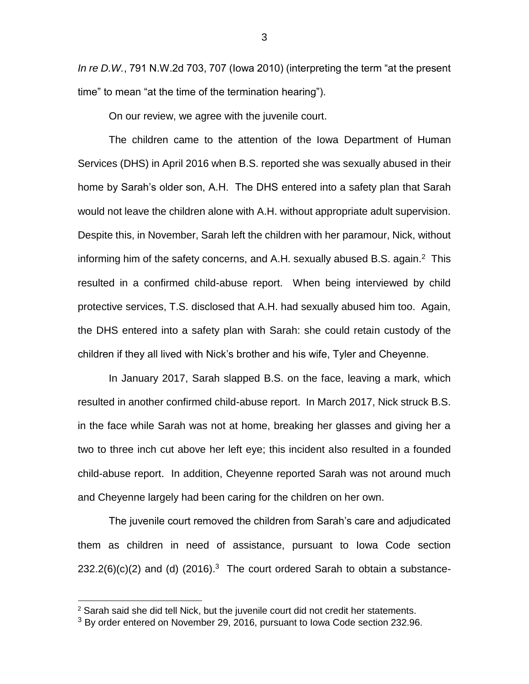*In re D.W.*, 791 N.W.2d 703, 707 (Iowa 2010) (interpreting the term "at the present time" to mean "at the time of the termination hearing").

On our review, we agree with the juvenile court.

The children came to the attention of the Iowa Department of Human Services (DHS) in April 2016 when B.S. reported she was sexually abused in their home by Sarah's older son, A.H. The DHS entered into a safety plan that Sarah would not leave the children alone with A.H. without appropriate adult supervision. Despite this, in November, Sarah left the children with her paramour, Nick, without informing him of the safety concerns, and A.H. sexually abused B.S. again. $^2$  This resulted in a confirmed child-abuse report. When being interviewed by child protective services, T.S. disclosed that A.H. had sexually abused him too. Again, the DHS entered into a safety plan with Sarah: she could retain custody of the children if they all lived with Nick's brother and his wife, Tyler and Cheyenne.

In January 2017, Sarah slapped B.S. on the face, leaving a mark, which resulted in another confirmed child-abuse report. In March 2017, Nick struck B.S. in the face while Sarah was not at home, breaking her glasses and giving her a two to three inch cut above her left eye; this incident also resulted in a founded child-abuse report. In addition, Cheyenne reported Sarah was not around much and Cheyenne largely had been caring for the children on her own.

The juvenile court removed the children from Sarah's care and adjudicated them as children in need of assistance, pursuant to Iowa Code section  $232.2(6)(c)(2)$  and (d)  $(2016).<sup>3</sup>$  The court ordered Sarah to obtain a substance-

 $\overline{a}$ 

 $2$  Sarah said she did tell Nick, but the juvenile court did not credit her statements.

<sup>&</sup>lt;sup>3</sup> By order entered on November 29, 2016, pursuant to Iowa Code section 232.96.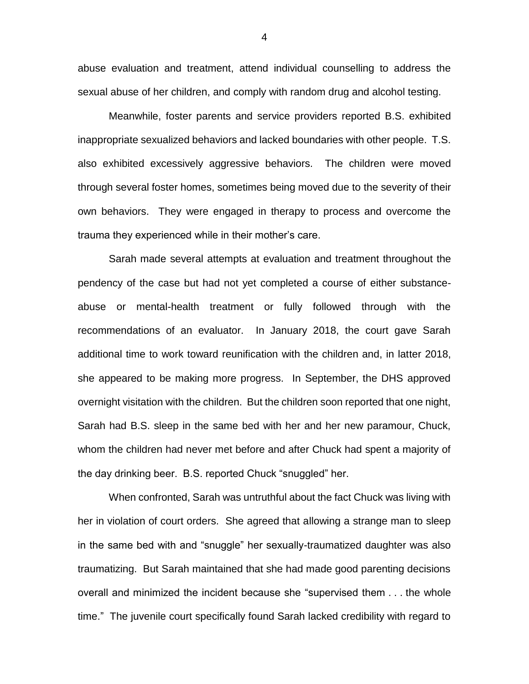abuse evaluation and treatment, attend individual counselling to address the sexual abuse of her children, and comply with random drug and alcohol testing.

Meanwhile, foster parents and service providers reported B.S. exhibited inappropriate sexualized behaviors and lacked boundaries with other people. T.S. also exhibited excessively aggressive behaviors. The children were moved through several foster homes, sometimes being moved due to the severity of their own behaviors. They were engaged in therapy to process and overcome the trauma they experienced while in their mother's care.

Sarah made several attempts at evaluation and treatment throughout the pendency of the case but had not yet completed a course of either substanceabuse or mental-health treatment or fully followed through with the recommendations of an evaluator. In January 2018, the court gave Sarah additional time to work toward reunification with the children and, in latter 2018, she appeared to be making more progress. In September, the DHS approved overnight visitation with the children. But the children soon reported that one night, Sarah had B.S. sleep in the same bed with her and her new paramour, Chuck, whom the children had never met before and after Chuck had spent a majority of the day drinking beer. B.S. reported Chuck "snuggled" her.

When confronted, Sarah was untruthful about the fact Chuck was living with her in violation of court orders. She agreed that allowing a strange man to sleep in the same bed with and "snuggle" her sexually-traumatized daughter was also traumatizing. But Sarah maintained that she had made good parenting decisions overall and minimized the incident because she "supervised them . . . the whole time." The juvenile court specifically found Sarah lacked credibility with regard to

4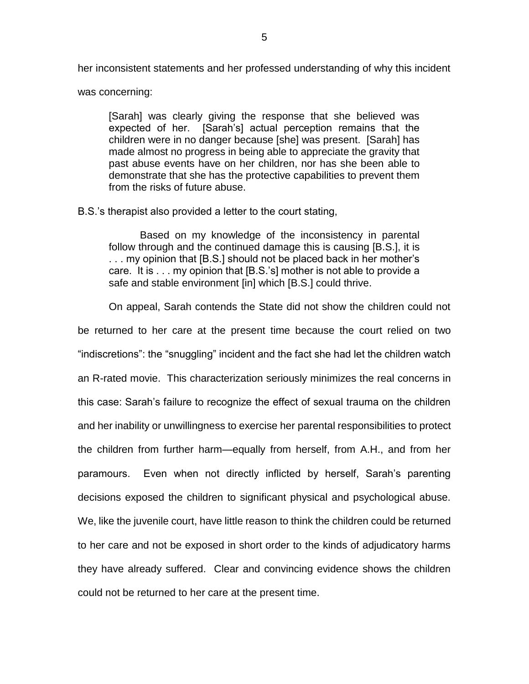her inconsistent statements and her professed understanding of why this incident

was concerning:

[Sarah] was clearly giving the response that she believed was expected of her. [Sarah's] actual perception remains that the children were in no danger because [she] was present. [Sarah] has made almost no progress in being able to appreciate the gravity that past abuse events have on her children, nor has she been able to demonstrate that she has the protective capabilities to prevent them from the risks of future abuse.

B.S.'s therapist also provided a letter to the court stating,

Based on my knowledge of the inconsistency in parental follow through and the continued damage this is causing [B.S.], it is ... my opinion that [B.S.] should not be placed back in her mother's care. It is . . . my opinion that [B.S.'s] mother is not able to provide a safe and stable environment [in] which [B.S.] could thrive.

On appeal, Sarah contends the State did not show the children could not

be returned to her care at the present time because the court relied on two "indiscretions": the "snuggling" incident and the fact she had let the children watch an R-rated movie. This characterization seriously minimizes the real concerns in this case: Sarah's failure to recognize the effect of sexual trauma on the children and her inability or unwillingness to exercise her parental responsibilities to protect the children from further harm—equally from herself, from A.H., and from her paramours. Even when not directly inflicted by herself, Sarah's parenting decisions exposed the children to significant physical and psychological abuse. We, like the juvenile court, have little reason to think the children could be returned to her care and not be exposed in short order to the kinds of adjudicatory harms they have already suffered. Clear and convincing evidence shows the children could not be returned to her care at the present time.